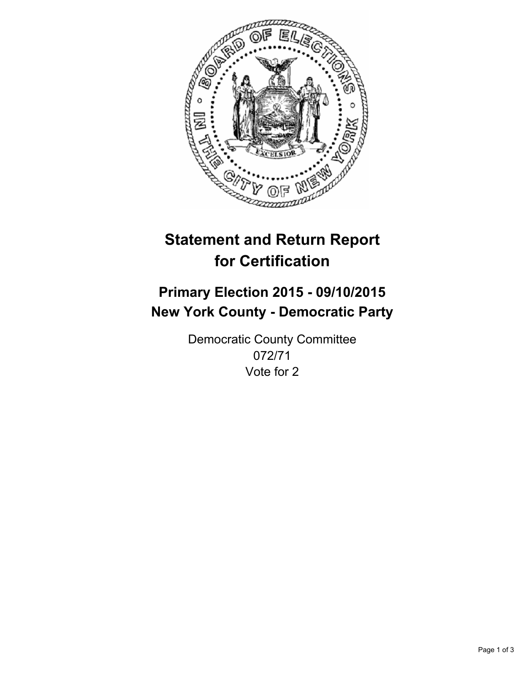

# **Statement and Return Report for Certification**

## **Primary Election 2015 - 09/10/2015 New York County - Democratic Party**

Democratic County Committee 072/71 Vote for 2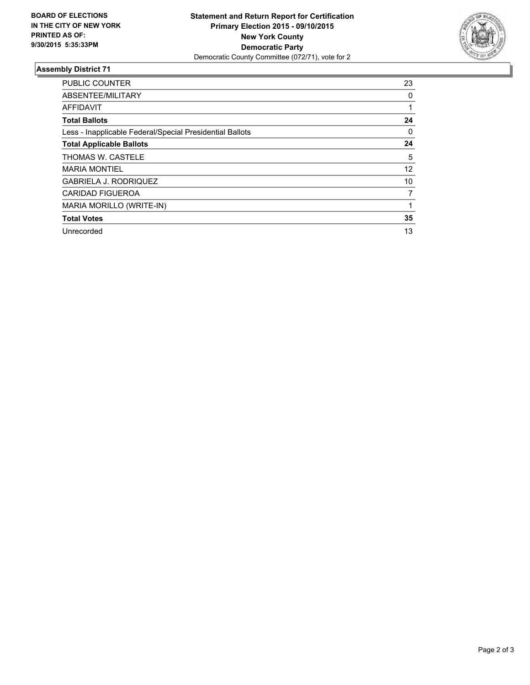

### **Assembly District 71**

| <b>PUBLIC COUNTER</b>                                    | 23 |
|----------------------------------------------------------|----|
| ABSENTEE/MILITARY                                        | 0  |
| <b>AFFIDAVIT</b>                                         |    |
| <b>Total Ballots</b>                                     | 24 |
| Less - Inapplicable Federal/Special Presidential Ballots | 0  |
| <b>Total Applicable Ballots</b>                          | 24 |
| THOMAS W. CASTELE                                        | 5  |
| <b>MARIA MONTIEL</b>                                     | 12 |
| <b>GABRIELA J. RODRIQUEZ</b>                             | 10 |
| <b>CARIDAD FIGUEROA</b>                                  | 7  |
| MARIA MORILLO (WRITE-IN)                                 |    |
| <b>Total Votes</b>                                       | 35 |
| Unrecorded                                               | 13 |